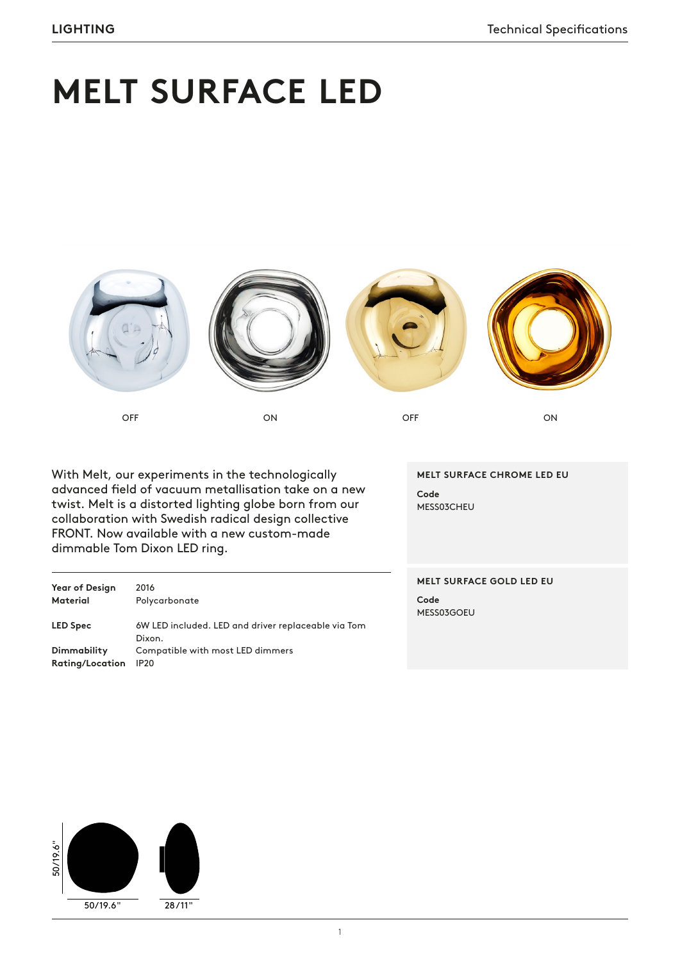# **MELT SURFACE LED**









OFF ON OFF ON

With Melt, our experiments in the technologically advanced field of vacuum metallisation take on a new twist. Melt is a distorted lighting globe born from our collaboration with Swedish radical design collective FRONT. Now available with a new custom-made dimmable Tom Dixon LED ring.

Year of Design 2016 **Material** Polycarbonate **LED Spec** 6W LED included. LED and driver replaceable via Tom Dixon. **Dimmability** Compatible with most LED dimmers **Rating/Location** IP20

**MELT SURFACE CHROME LED EU Code** MESS03CHEU

### **MELT SURFACE GOLD LED EU**

**Code** MESS03GOEU

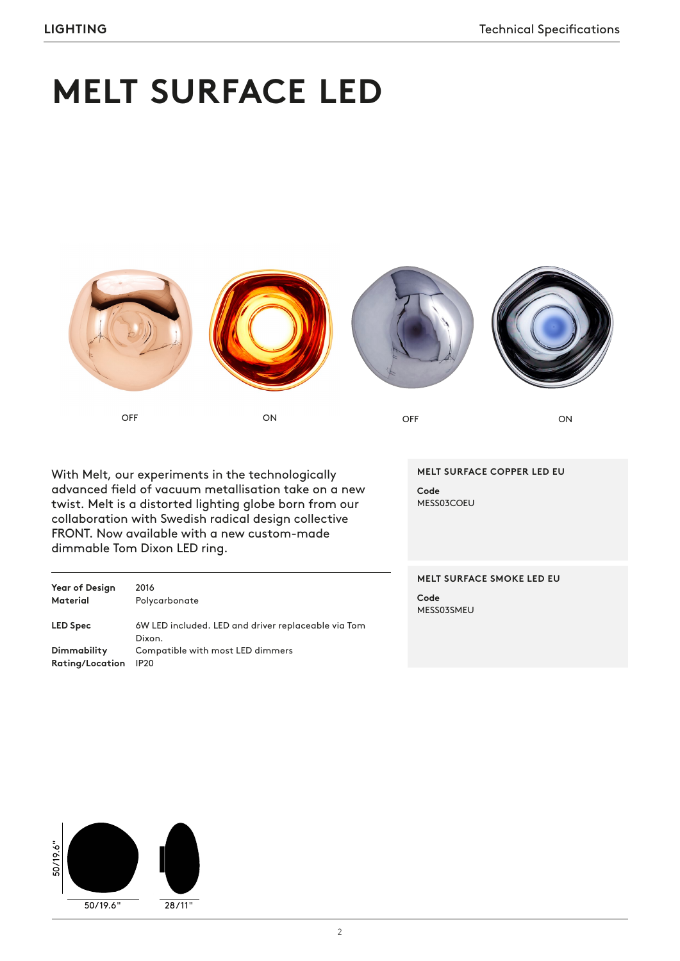# **MELT SURFACE LED**



OFF ON ON OFF ON ON

With Melt, our experiments in the technologically advanced field of vacuum metallisation take on a new twist. Melt is a distorted lighting globe born from our collaboration with Swedish radical design collective FRONT. Now available with a new custom-made dimmable Tom Dixon LED ring.

| <b>Year of Design</b> | 2016                                                          |
|-----------------------|---------------------------------------------------------------|
| <b>Material</b>       | Polycarbonate                                                 |
| <b>LED Spec</b>       | 6W LED included. LED and driver replaceable via Tom<br>Dixon. |
| Dimmability           | Compatible with most LED dimmers                              |
| Rating/Location       | <b>IP20</b>                                                   |

**MELT SURFACE COPPER LED EU Code** MESS03COEU

**MELT SURFACE SMOKE LED EU Code**

MESS03SMEU